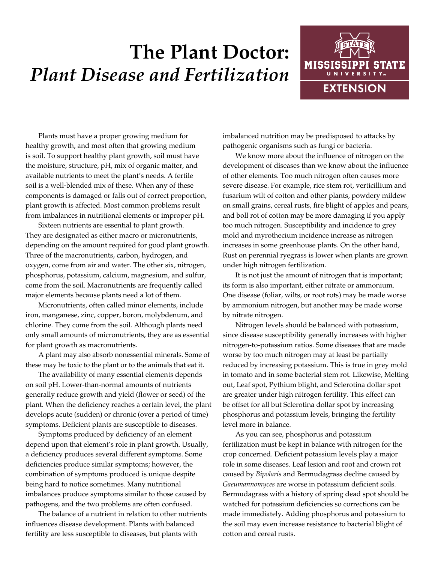## **The Plant Doctor:** *Plant Disease and Fertilization*



Plants must have a proper growing medium for healthy growth, and most often that growing medium is soil. To support healthy plant growth, soil must have the moisture, structure, pH, mix of organic matter, and available nutrients to meet the plant's needs. A fertile soil is a well-blended mix of these. When any of these components is damaged or falls out of correct proportion, plant growth is affected. Most common problems result from imbalances in nutritional elements or improper pH.

Sixteen nutrients are essential to plant growth. They are designated as either macro or micronutrients, depending on the amount required for good plant growth. Three of the macronutrients, carbon, hydrogen, and oxygen, come from air and water. The other six, nitrogen, phosphorus, potassium, calcium, magnesium, and sulfur, come from the soil. Macronutrients are frequently called major elements because plants need a lot of them.

Micronutrients, often called minor elements, include iron, manganese, zinc, copper, boron, molybdenum, and chlorine. They come from the soil. Although plants need only small amounts of micronutrients, they are as essential for plant growth as macronutrients.

A plant may also absorb nonessential minerals. Some of these may be toxic to the plant or to the animals that eat it.

The availability of many essential elements depends on soil pH. Lower-than-normal amounts of nutrients generally reduce growth and yield (flower or seed) of the plant. When the deficiency reaches a certain level, the plant develops acute (sudden) or chronic (over a period of time) symptoms. Deficient plants are susceptible to diseases.

Symptoms produced by deficiency of an element depend upon that element's role in plant growth. Usually, a deficiency produces several different symptoms. Some deficiencies produce similar symptoms; however, the combination of symptoms produced is unique despite being hard to notice sometimes. Many nutritional imbalances produce symptoms similar to those caused by pathogens, and the two problems are often confused.

The balance of a nutrient in relation to other nutrients influences disease development. Plants with balanced fertility are less susceptible to diseases, but plants with

imbalanced nutrition may be predisposed to attacks by pathogenic organisms such as fungi or bacteria.

We know more about the influence of nitrogen on the development of diseases than we know about the influence of other elements. Too much nitrogen often causes more severe disease. For example, rice stem rot, verticillium and fusarium wilt of cotton and other plants, powdery mildew on small grains, cereal rusts, fire blight of apples and pears, and boll rot of cotton may be more damaging if you apply too much nitrogen. Susceptibility and incidence to grey mold and myrothecium incidence increase as nitrogen increases in some greenhouse plants. On the other hand, Rust on perennial ryegrass is lower when plants are grown under high nitrogen fertilization.

It is not just the amount of nitrogen that is important; its form is also important, either nitrate or ammonium. One disease (foliar, wilts, or root rots) may be made worse by ammonium nitrogen, but another may be made worse by nitrate nitrogen.

Nitrogen levels should be balanced with potassium, since disease susceptibility generally increases with higher nitrogen-to-potassium ratios. Some diseases that are made worse by too much nitrogen may at least be partially reduced by increasing potassium. This is true in grey mold in tomato and in some bacterial stem rot. Likewise, Melting out, Leaf spot, Pythium blight, and Sclerotina dollar spot are greater under high nitrogen fertility. This effect can be offset for all but Sclerotina dollar spot by increasing phosphorus and potassium levels, bringing the fertility level more in balance.

As you can see, phosphorus and potassium fertilization must be kept in balance with nitrogen for the crop concerned. Deficient potassium levels play a major role in some diseases. Leaf lesion and root and crown rot caused by *Bipolaris* and Bermudagrass decline caused by *Gaeumannomyces* are worse in potassium deficient soils. Bermudagrass with a history of spring dead spot should be watched for potassium deficiencies so corrections can be made immediately. Adding phosphorus and potassium to the soil may even increase resistance to bacterial blight of cotton and cereal rusts.